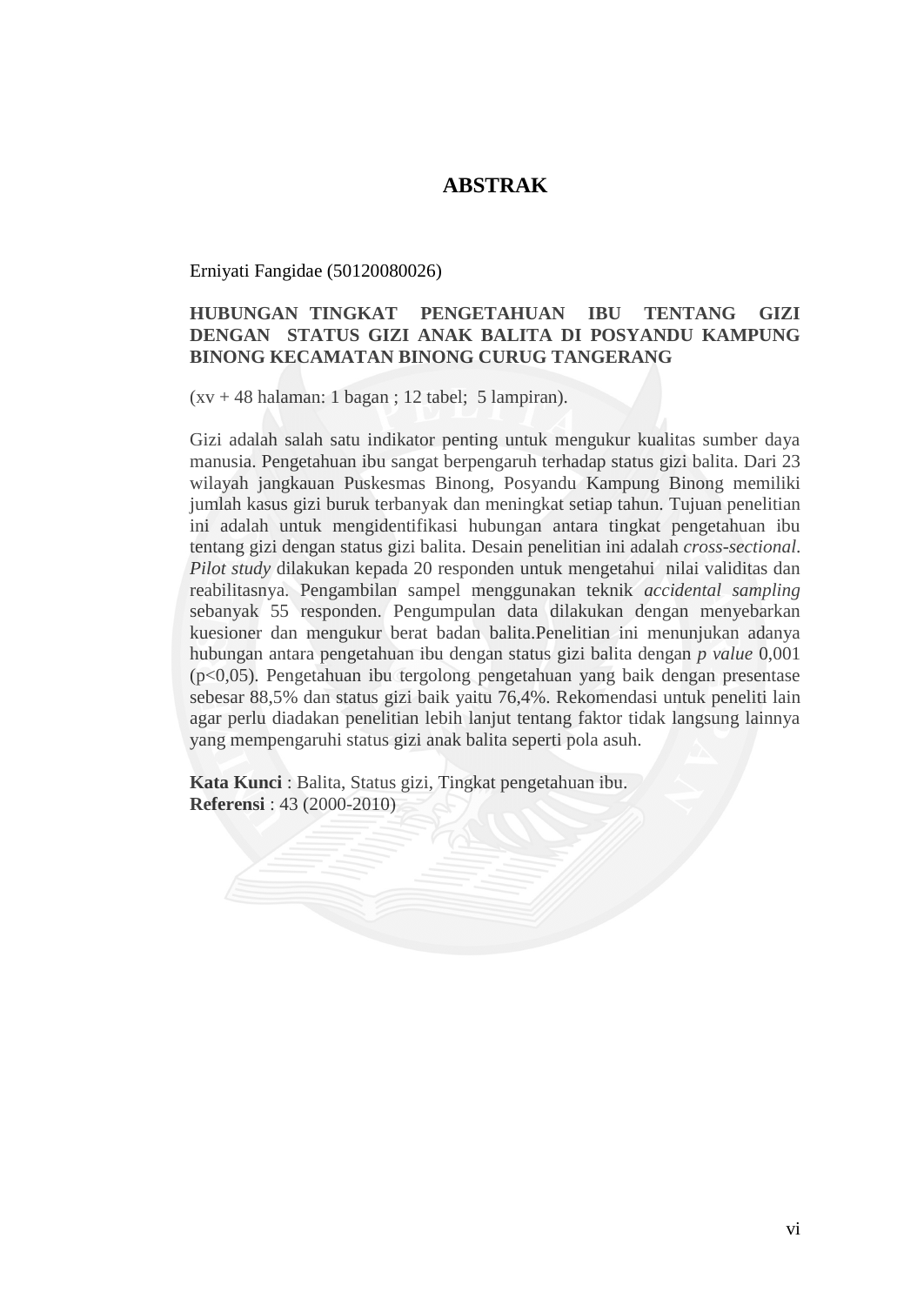## **ABSTRAK**

Erniyati Fangidae (50120080026)

## **HUBUNGAN TINGKAT PENGETAHUAN IBU TENTANG GIZI DENGAN STATUS GIZI ANAK BALITA DI POSYANDU KAMPUNG BINONG KECAMATAN BINONG CURUG TANGERANG**

 $(xv + 48$  halaman: 1 bagan; 12 tabel; 5 lampiran).

Gizi adalah salah satu indikator penting untuk mengukur kualitas sumber daya manusia. Pengetahuan ibu sangat berpengaruh terhadap status gizi balita. Dari 23 wilayah jangkauan Puskesmas Binong, Posyandu Kampung Binong memiliki jumlah kasus gizi buruk terbanyak dan meningkat setiap tahun. Tujuan penelitian ini adalah untuk mengidentifikasi hubungan antara tingkat pengetahuan ibu tentang gizi dengan status gizi balita. Desain penelitian ini adalah *cross-sectional*. *Pilot study* dilakukan kepada 20 responden untuk mengetahui nilai validitas dan reabilitasnya. Pengambilan sampel menggunakan teknik *accidental sampling* sebanyak 55 responden. Pengumpulan data dilakukan dengan menyebarkan kuesioner dan mengukur berat badan balita.Penelitian ini menunjukan adanya hubungan antara pengetahuan ibu dengan status gizi balita dengan *p value* 0,001 (p<0,05). Pengetahuan ibu tergolong pengetahuan yang baik dengan presentase sebesar 88,5% dan status gizi baik yaitu 76,4%. Rekomendasi untuk peneliti lain agar perlu diadakan penelitian lebih lanjut tentang faktor tidak langsung lainnya yang mempengaruhi status gizi anak balita seperti pola asuh.

**Kata Kunci** : Balita, Status gizi, Tingkat pengetahuan ibu. **Referensi** : 43 (2000-2010)